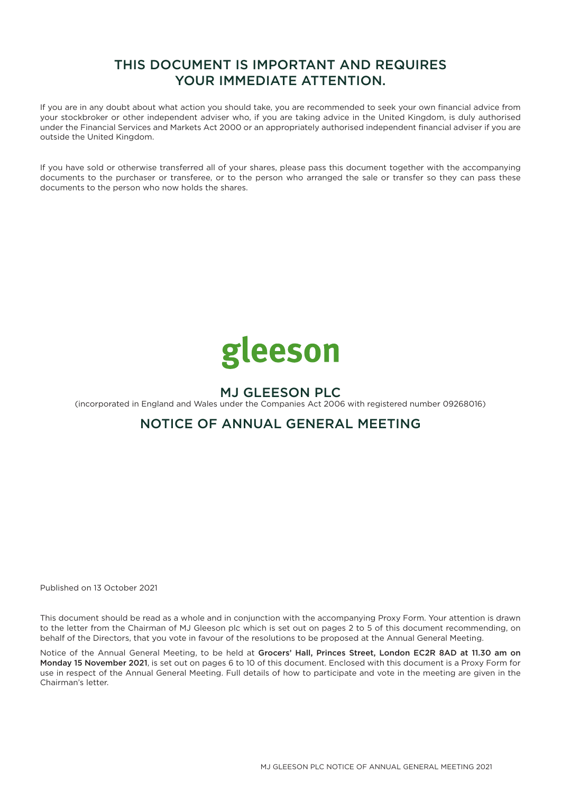# THIS DOCUMENT IS IMPORTANT AND REQUIRES YOUR IMMEDIATE ATTENTION.

If you are in any doubt about what action you should take, you are recommended to seek your own financial advice from your stockbroker or other independent adviser who, if you are taking advice in the United Kingdom, is duly authorised under the Financial Services and Markets Act 2000 or an appropriately authorised independent financial adviser if you are outside the United Kingdom.

If you have sold or otherwise transferred all of your shares, please pass this document together with the accompanying documents to the purchaser or transferee, or to the person who arranged the sale or transfer so they can pass these documents to the person who now holds the shares.



# MJ GLEESON PLC

(incorporated in England and Wales under the Companies Act 2006 with registered number 09268016)

## NOTICE OF ANNUAL GENERAL MEETING

Published on 13 October 2021

This document should be read as a whole and in conjunction with the accompanying Proxy Form. Your attention is drawn to the letter from the Chairman of MJ Gleeson plc which is set out on pages 2 to 5 of this document recommending, on behalf of the Directors, that you vote in favour of the resolutions to be proposed at the Annual General Meeting.

Notice of the Annual General Meeting, to be held at Grocers' Hall, Princes Street, London EC2R 8AD at 11.30 am on Monday 15 November 2021, is set out on pages 6 to 10 of this document. Enclosed with this document is a Proxy Form for use in respect of the Annual General Meeting. Full details of how to participate and vote in the meeting are given in the Chairman's letter.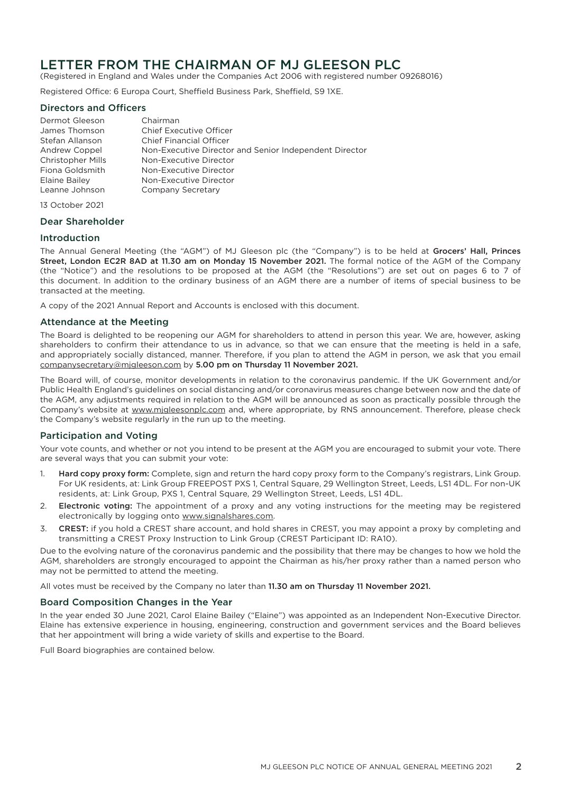## LETTER FROM THE CHAIRMAN OF MJ GLEESON PLC

(Registered in England and Wales under the Companies Act 2006 with registered number 09268016)

Registered Office: 6 Europa Court, Sheffield Business Park, Sheffield, S9 1XE.

## Directors and Officers

Dermot Gleeson Chairman<br>James Thomson Chief Exer Chief Executive Officer Stefan Allanson Chief Financial Officer Andrew Coppel Non-Executive Director and Senior Independent Director Christopher Mills Non-Executive Director Non-Executive Director Elaine Bailey Non-Executive Director Leanne Johnson Company Secretary

13 October 2021

## Dear Shareholder

### Introduction

The Annual General Meeting (the "AGM") of MJ Gleeson plc (the "Company") is to be held at Grocers' Hall, Princes Street, London EC2R 8AD at 11.30 am on Monday 15 November 2021. The formal notice of the AGM of the Company (the "Notice") and the resolutions to be proposed at the AGM (the "Resolutions") are set out on pages 6 to 7 of this document. In addition to the ordinary business of an AGM there are a number of items of special business to be transacted at the meeting.

A copy of the 2021 Annual Report and Accounts is enclosed with this document.

### Attendance at the Meeting

The Board is delighted to be reopening our AGM for shareholders to attend in person this year. We are, however, asking shareholders to confirm their attendance to us in advance, so that we can ensure that the meeting is held in a safe, and appropriately socially distanced, manner. Therefore, if you plan to attend the AGM in person, we ask that you email companysecretary@mjgleeson.com by 5.00 pm on Thursday 11 November 2021.

The Board will, of course, monitor developments in relation to the coronavirus pandemic. If the UK Government and/or Public Health England's guidelines on social distancing and/or coronavirus measures change between now and the date of the AGM, any adjustments required in relation to the AGM will be announced as soon as practically possible through the Company's website at www.mjgleesonplc.com and, where appropriate, by RNS announcement. Therefore, please check the Company's website regularly in the run up to the meeting.

## Participation and Voting

Your vote counts, and whether or not you intend to be present at the AGM you are encouraged to submit your vote. There are several ways that you can submit your vote:

- 1. Hard copy proxy form: Complete, sign and return the hard copy proxy form to the Company's registrars, Link Group. For UK residents, at: Link Group FREEPOST PXS 1, Central Square, 29 Wellington Street, Leeds, LS1 4DL. For non-UK residents, at: Link Group, PXS 1, Central Square, 29 Wellington Street, Leeds, LS1 4DL.
- 2. Electronic voting: The appointment of a proxy and any voting instructions for the meeting may be registered electronically by logging onto www.signalshares.com.
- 3. CREST: if you hold a CREST share account, and hold shares in CREST, you may appoint a proxy by completing and transmitting a CREST Proxy Instruction to Link Group (CREST Participant ID: RA10).

Due to the evolving nature of the coronavirus pandemic and the possibility that there may be changes to how we hold the AGM, shareholders are strongly encouraged to appoint the Chairman as his/her proxy rather than a named person who may not be permitted to attend the meeting.

All votes must be received by the Company no later than 11.30 am on Thursday 11 November 2021.

## Board Composition Changes in the Year

In the year ended 30 June 2021, Carol Elaine Bailey ("Elaine") was appointed as an Independent Non-Executive Director. Elaine has extensive experience in housing, engineering, construction and government services and the Board believes that her appointment will bring a wide variety of skills and expertise to the Board.

Full Board biographies are contained below.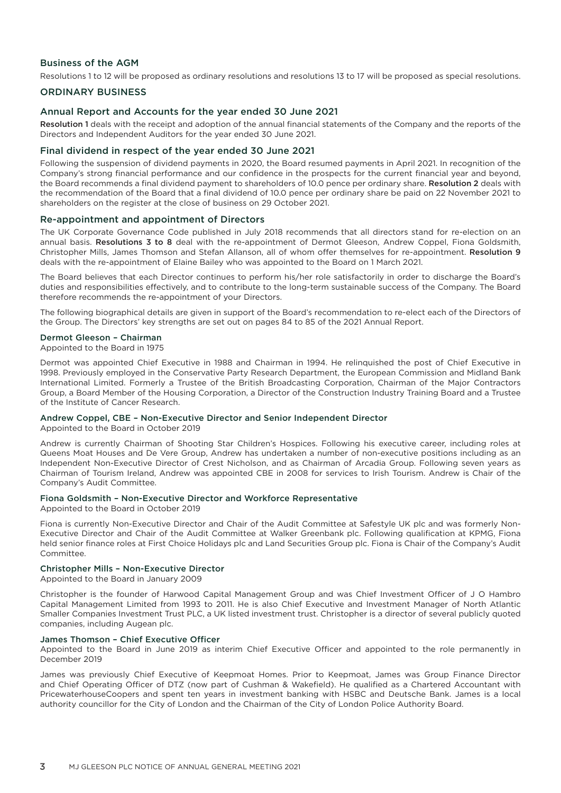## Business of the AGM

Resolutions 1 to 12 will be proposed as ordinary resolutions and resolutions 13 to 17 will be proposed as special resolutions.

## ORDINARY BUSINESS

#### Annual Report and Accounts for the year ended 30 June 2021

Resolution 1 deals with the receipt and adoption of the annual financial statements of the Company and the reports of the Directors and Independent Auditors for the year ended 30 June 2021.

#### Final dividend in respect of the year ended 30 June 2021

Following the suspension of dividend payments in 2020, the Board resumed payments in April 2021. In recognition of the Company's strong financial performance and our confidence in the prospects for the current financial year and beyond, the Board recommends a final dividend payment to shareholders of 10.0 pence per ordinary share. Resolution 2 deals with the recommendation of the Board that a final dividend of 10.0 pence per ordinary share be paid on 22 November 2021 to shareholders on the register at the close of business on 29 October 2021.

#### Re-appointment and appointment of Directors

The UK Corporate Governance Code published in July 2018 recommends that all directors stand for re-election on an annual basis. Resolutions 3 to 8 deal with the re-appointment of Dermot Gleeson, Andrew Coppel, Fiona Goldsmith, Christopher Mills, James Thomson and Stefan Allanson, all of whom offer themselves for re-appointment. Resolution 9 deals with the re-appointment of Elaine Bailey who was appointed to the Board on 1 March 2021.

The Board believes that each Director continues to perform his/her role satisfactorily in order to discharge the Board's duties and responsibilities effectively, and to contribute to the long-term sustainable success of the Company. The Board therefore recommends the re-appointment of your Directors.

The following biographical details are given in support of the Board's recommendation to re-elect each of the Directors of the Group. The Directors' key strengths are set out on pages 84 to 85 of the 2021 Annual Report.

#### Dermot Gleeson – Chairman

Appointed to the Board in 1975

Dermot was appointed Chief Executive in 1988 and Chairman in 1994. He relinquished the post of Chief Executive in 1998. Previously employed in the Conservative Party Research Department, the European Commission and Midland Bank International Limited. Formerly a Trustee of the British Broadcasting Corporation, Chairman of the Major Contractors Group, a Board Member of the Housing Corporation, a Director of the Construction Industry Training Board and a Trustee of the Institute of Cancer Research.

#### Andrew Coppel, CBE – Non-Executive Director and Senior Independent Director

Appointed to the Board in October 2019

Andrew is currently Chairman of Shooting Star Children's Hospices. Following his executive career, including roles at Queens Moat Houses and De Vere Group, Andrew has undertaken a number of non-executive positions including as an Independent Non-Executive Director of Crest Nicholson, and as Chairman of Arcadia Group. Following seven years as Chairman of Tourism Ireland, Andrew was appointed CBE in 2008 for services to Irish Tourism. Andrew is Chair of the Company's Audit Committee.

#### Fiona Goldsmith – Non-Executive Director and Workforce Representative

Appointed to the Board in October 2019

Fiona is currently Non-Executive Director and Chair of the Audit Committee at Safestyle UK plc and was formerly Non-Executive Director and Chair of the Audit Committee at Walker Greenbank plc. Following qualification at KPMG, Fiona held senior finance roles at First Choice Holidays plc and Land Securities Group plc. Fiona is Chair of the Company's Audit Committee.

#### Christopher Mills – Non-Executive Director

Appointed to the Board in January 2009

Christopher is the founder of Harwood Capital Management Group and was Chief Investment Officer of J O Hambro Capital Management Limited from 1993 to 2011. He is also Chief Executive and Investment Manager of North Atlantic Smaller Companies Investment Trust PLC, a UK listed investment trust. Christopher is a director of several publicly quoted companies, including Augean plc.

#### James Thomson – Chief Executive Officer

Appointed to the Board in June 2019 as interim Chief Executive Officer and appointed to the role permanently in December 2019

James was previously Chief Executive of Keepmoat Homes. Prior to Keepmoat, James was Group Finance Director and Chief Operating Officer of DTZ (now part of Cushman & Wakefield). He qualified as a Chartered Accountant with PricewaterhouseCoopers and spent ten years in investment banking with HSBC and Deutsche Bank. James is a local authority councillor for the City of London and the Chairman of the City of London Police Authority Board.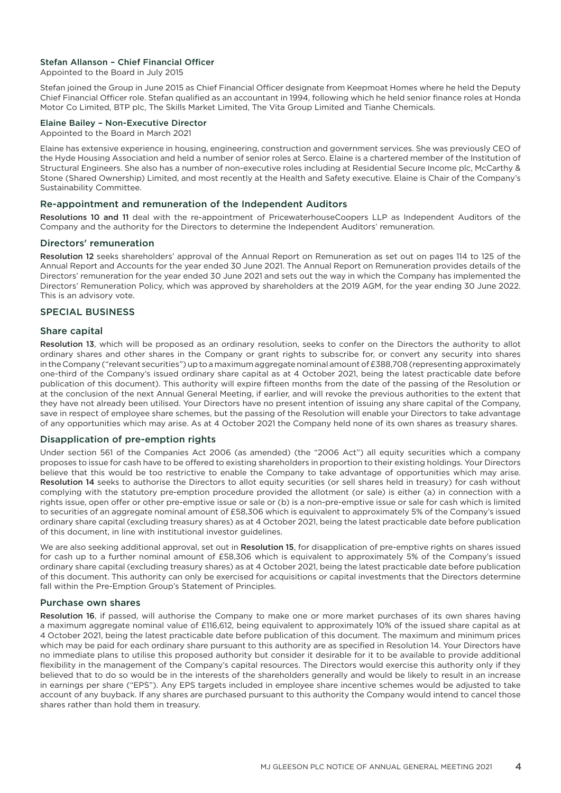## Stefan Allanson – Chief Financial Officer

Appointed to the Board in July 2015

Stefan joined the Group in June 2015 as Chief Financial Officer designate from Keepmoat Homes where he held the Deputy Chief Financial Officer role. Stefan qualified as an accountant in 1994, following which he held senior finance roles at Honda Motor Co Limited, BTP plc, The Skills Market Limited, The Vita Group Limited and Tianhe Chemicals.

### Elaine Bailey – Non-Executive Director

Appointed to the Board in March 2021

Elaine has extensive experience in housing, engineering, construction and government services. She was previously CEO of the Hyde Housing Association and held a number of senior roles at Serco. Elaine is a chartered member of the Institution of Structural Engineers. She also has a number of non-executive roles including at Residential Secure Income plc, McCarthy & Stone (Shared Ownership) Limited, and most recently at the Health and Safety executive. Elaine is Chair of the Company's Sustainability Committee.

### Re-appointment and remuneration of the Independent Auditors

Resolutions 10 and 11 deal with the re-appointment of PricewaterhouseCoopers LLP as Independent Auditors of the Company and the authority for the Directors to determine the Independent Auditors' remuneration.

#### Directors' remuneration

Resolution 12 seeks shareholders' approval of the Annual Report on Remuneration as set out on pages 114 to 125 of the Annual Report and Accounts for the year ended 30 June 2021. The Annual Report on Remuneration provides details of the Directors' remuneration for the year ended 30 June 2021 and sets out the way in which the Company has implemented the Directors' Remuneration Policy, which was approved by shareholders at the 2019 AGM, for the year ending 30 June 2022. This is an advisory vote.

### SPECIAL BUSINESS

#### Share capital

Resolution 13, which will be proposed as an ordinary resolution, seeks to confer on the Directors the authority to allot ordinary shares and other shares in the Company or grant rights to subscribe for, or convert any security into shares in the Company ("relevant securities") up to a maximum aggregate nominal amount of £388,708 (representing approximately one-third of the Company's issued ordinary share capital as at 4 October 2021, being the latest practicable date before publication of this document). This authority will expire fifteen months from the date of the passing of the Resolution or at the conclusion of the next Annual General Meeting, if earlier, and will revoke the previous authorities to the extent that they have not already been utilised. Your Directors have no present intention of issuing any share capital of the Company, save in respect of employee share schemes, but the passing of the Resolution will enable your Directors to take advantage of any opportunities which may arise. As at 4 October 2021 the Company held none of its own shares as treasury shares.

#### Disapplication of pre-emption rights

Under section 561 of the Companies Act 2006 (as amended) (the "2006 Act") all equity securities which a company proposes to issue for cash have to be offered to existing shareholders in proportion to their existing holdings. Your Directors believe that this would be too restrictive to enable the Company to take advantage of opportunities which may arise. Resolution 14 seeks to authorise the Directors to allot equity securities (or sell shares held in treasury) for cash without complying with the statutory pre-emption procedure provided the allotment (or sale) is either (a) in connection with a rights issue, open offer or other pre-emptive issue or sale or (b) is a non-pre-emptive issue or sale for cash which is limited to securities of an aggregate nominal amount of £58,306 which is equivalent to approximately 5% of the Company's issued ordinary share capital (excluding treasury shares) as at 4 October 2021, being the latest practicable date before publication of this document, in line with institutional investor guidelines.

We are also seeking additional approval, set out in Resolution 15, for disapplication of pre-emptive rights on shares issued for cash up to a further nominal amount of £58,306 which is equivalent to approximately 5% of the Company's issued ordinary share capital (excluding treasury shares) as at 4 October 2021, being the latest practicable date before publication of this document. This authority can only be exercised for acquisitions or capital investments that the Directors determine fall within the Pre-Emption Group's Statement of Principles.

#### Purchase own shares

Resolution 16, if passed, will authorise the Company to make one or more market purchases of its own shares having a maximum aggregate nominal value of £116,612, being equivalent to approximately 10% of the issued share capital as at 4 October 2021, being the latest practicable date before publication of this document. The maximum and minimum prices which may be paid for each ordinary share pursuant to this authority are as specified in Resolution 14. Your Directors have no immediate plans to utilise this proposed authority but consider it desirable for it to be available to provide additional flexibility in the management of the Company's capital resources. The Directors would exercise this authority only if they believed that to do so would be in the interests of the shareholders generally and would be likely to result in an increase in earnings per share ("EPS"). Any EPS targets included in employee share incentive schemes would be adjusted to take account of any buyback. If any shares are purchased pursuant to this authority the Company would intend to cancel those shares rather than hold them in treasury.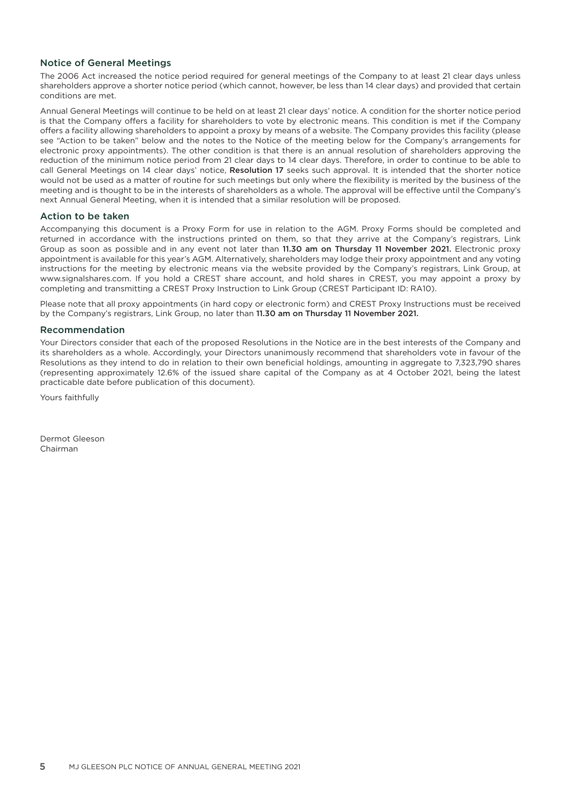## Notice of General Meetings

The 2006 Act increased the notice period required for general meetings of the Company to at least 21 clear days unless shareholders approve a shorter notice period (which cannot, however, be less than 14 clear days) and provided that certain conditions are met.

Annual General Meetings will continue to be held on at least 21 clear days' notice. A condition for the shorter notice period is that the Company offers a facility for shareholders to vote by electronic means. This condition is met if the Company offers a facility allowing shareholders to appoint a proxy by means of a website. The Company provides this facility (please see "Action to be taken" below and the notes to the Notice of the meeting below for the Company's arrangements for electronic proxy appointments). The other condition is that there is an annual resolution of shareholders approving the reduction of the minimum notice period from 21 clear days to 14 clear days. Therefore, in order to continue to be able to call General Meetings on 14 clear days' notice, Resolution 17 seeks such approval. It is intended that the shorter notice would not be used as a matter of routine for such meetings but only where the flexibility is merited by the business of the meeting and is thought to be in the interests of shareholders as a whole. The approval will be effective until the Company's next Annual General Meeting, when it is intended that a similar resolution will be proposed.

## Action to be taken

Accompanying this document is a Proxy Form for use in relation to the AGM. Proxy Forms should be completed and returned in accordance with the instructions printed on them, so that they arrive at the Company's registrars, Link Group as soon as possible and in any event not later than 11.30 am on Thursday 11 November 2021. Electronic proxy appointment is available for this year's AGM. Alternatively, shareholders may lodge their proxy appointment and any voting instructions for the meeting by electronic means via the website provided by the Company's registrars, Link Group, at www.signalshares.com. If you hold a CREST share account, and hold shares in CREST, you may appoint a proxy by completing and transmitting a CREST Proxy Instruction to Link Group (CREST Participant ID: RA10).

Please note that all proxy appointments (in hard copy or electronic form) and CREST Proxy Instructions must be received by the Company's registrars, Link Group, no later than 11.30 am on Thursday 11 November 2021.

### Recommendation

Your Directors consider that each of the proposed Resolutions in the Notice are in the best interests of the Company and its shareholders as a whole. Accordingly, your Directors unanimously recommend that shareholders vote in favour of the Resolutions as they intend to do in relation to their own beneficial holdings, amounting in aggregate to 7,323,790 shares (representing approximately 12.6% of the issued share capital of the Company as at 4 October 2021, being the latest practicable date before publication of this document).

Yours faithfully

Dermot Gleeson Chairman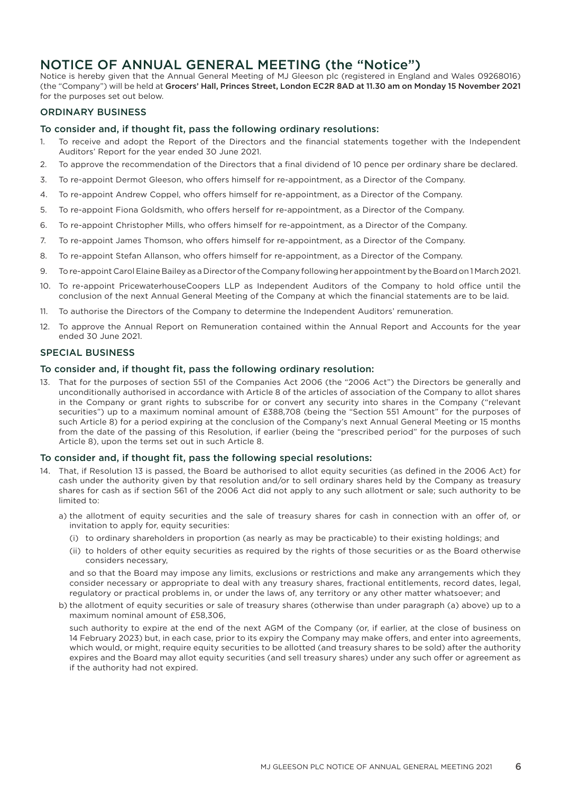## NOTICE OF ANNUAL GENERAL MEETING (the "Notice")

Notice is hereby given that the Annual General Meeting of MJ Gleeson plc (registered in England and Wales 09268016) (the "Company") will be held at Grocers' Hall, Princes Street, London EC2R 8AD at 11.30 am on Monday 15 November 2021 for the purposes set out below.

## ORDINARY BUSINESS

## To consider and, if thought fit, pass the following ordinary resolutions:

- 1. To receive and adopt the Report of the Directors and the financial statements together with the Independent Auditors' Report for the year ended 30 June 2021.
- 2. To approve the recommendation of the Directors that a final dividend of 10 pence per ordinary share be declared.
- 3. To re-appoint Dermot Gleeson, who offers himself for re-appointment, as a Director of the Company.
- 4. To re-appoint Andrew Coppel, who offers himself for re-appointment, as a Director of the Company.
- 5. To re-appoint Fiona Goldsmith, who offers herself for re-appointment, as a Director of the Company.
- 6. To re-appoint Christopher Mills, who offers himself for re-appointment, as a Director of the Company.
- 7. To re-appoint James Thomson, who offers himself for re-appointment, as a Director of the Company.
- 8. To re-appoint Stefan Allanson, who offers himself for re-appointment, as a Director of the Company.
- 9. To re-appoint Carol Elaine Bailey as a Director of the Company following her appointment by the Board on 1 March 2021.
- 10. To re-appoint PricewaterhouseCoopers LLP as Independent Auditors of the Company to hold office until the conclusion of the next Annual General Meeting of the Company at which the financial statements are to be laid.
- 11. To authorise the Directors of the Company to determine the Independent Auditors' remuneration.
- 12. To approve the Annual Report on Remuneration contained within the Annual Report and Accounts for the year ended 30 June 2021.

### SPECIAL BUSINESS

### To consider and, if thought fit, pass the following ordinary resolution:

13. That for the purposes of section 551 of the Companies Act 2006 (the "2006 Act") the Directors be generally and unconditionally authorised in accordance with Article 8 of the articles of association of the Company to allot shares in the Company or grant rights to subscribe for or convert any security into shares in the Company ("relevant securities") up to a maximum nominal amount of £388,708 (being the "Section 551 Amount" for the purposes of such Article 8) for a period expiring at the conclusion of the Company's next Annual General Meeting or 15 months from the date of the passing of this Resolution, if earlier (being the "prescribed period" for the purposes of such Article 8), upon the terms set out in such Article 8.

#### To consider and, if thought fit, pass the following special resolutions:

- 14. That, if Resolution 13 is passed, the Board be authorised to allot equity securities (as defined in the 2006 Act) for cash under the authority given by that resolution and/or to sell ordinary shares held by the Company as treasury shares for cash as if section 561 of the 2006 Act did not apply to any such allotment or sale; such authority to be limited to:
	- a) the allotment of equity securities and the sale of treasury shares for cash in connection with an offer of, or invitation to apply for, equity securities:
		- (i) to ordinary shareholders in proportion (as nearly as may be practicable) to their existing holdings; and
		- (ii) to holders of other equity securities as required by the rights of those securities or as the Board otherwise considers necessary,

and so that the Board may impose any limits, exclusions or restrictions and make any arrangements which they consider necessary or appropriate to deal with any treasury shares, fractional entitlements, record dates, legal, regulatory or practical problems in, or under the laws of, any territory or any other matter whatsoever; and

b) the allotment of equity securities or sale of treasury shares (otherwise than under paragraph (a) above) up to a maximum nominal amount of £58,306,

such authority to expire at the end of the next AGM of the Company (or, if earlier, at the close of business on 14 February 2023) but, in each case, prior to its expiry the Company may make offers, and enter into agreements, which would, or might, require equity securities to be allotted (and treasury shares to be sold) after the authority expires and the Board may allot equity securities (and sell treasury shares) under any such offer or agreement as if the authority had not expired.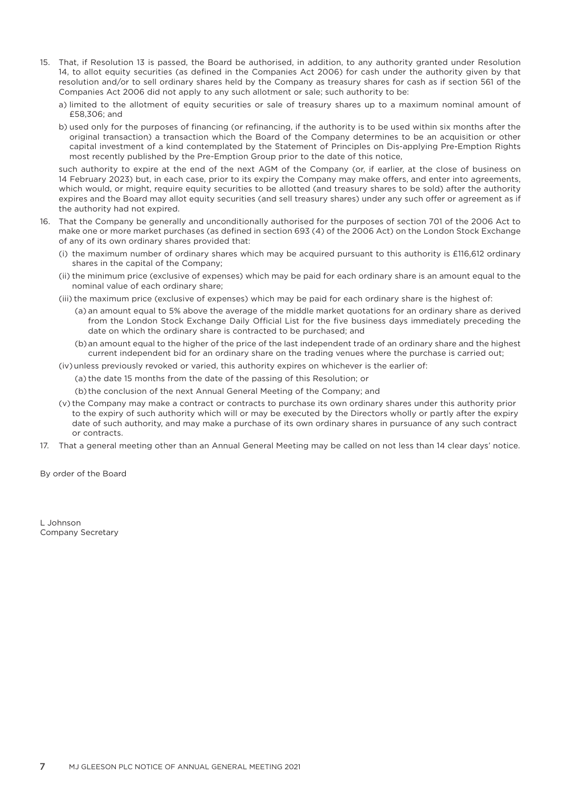- 15. That, if Resolution 13 is passed, the Board be authorised, in addition, to any authority granted under Resolution 14, to allot equity securities (as defined in the Companies Act 2006) for cash under the authority given by that resolution and/or to sell ordinary shares held by the Company as treasury shares for cash as if section 561 of the Companies Act 2006 did not apply to any such allotment or sale; such authority to be:
	- a) limited to the allotment of equity securities or sale of treasury shares up to a maximum nominal amount of £58,306; and
	- b) used only for the purposes of financing (or refinancing, if the authority is to be used within six months after the original transaction) a transaction which the Board of the Company determines to be an acquisition or other capital investment of a kind contemplated by the Statement of Principles on Dis-applying Pre-Emption Rights most recently published by the Pre-Emption Group prior to the date of this notice,

such authority to expire at the end of the next AGM of the Company (or, if earlier, at the close of business on 14 February 2023) but, in each case, prior to its expiry the Company may make offers, and enter into agreements, which would, or might, require equity securities to be allotted (and treasury shares to be sold) after the authority expires and the Board may allot equity securities (and sell treasury shares) under any such offer or agreement as if the authority had not expired.

- 16. That the Company be generally and unconditionally authorised for the purposes of section 701 of the 2006 Act to make one or more market purchases (as defined in section 693 (4) of the 2006 Act) on the London Stock Exchange of any of its own ordinary shares provided that:
	- (i) the maximum number of ordinary shares which may be acquired pursuant to this authority is £116,612 ordinary shares in the capital of the Company;
	- (ii) the minimum price (exclusive of expenses) which may be paid for each ordinary share is an amount equal to the nominal value of each ordinary share;
	- (iii) the maximum price (exclusive of expenses) which may be paid for each ordinary share is the highest of:
		- (a) an amount equal to 5% above the average of the middle market quotations for an ordinary share as derived from the London Stock Exchange Daily Official List for the five business days immediately preceding the date on which the ordinary share is contracted to be purchased; and
		- (b) an amount equal to the higher of the price of the last independent trade of an ordinary share and the highest current independent bid for an ordinary share on the trading venues where the purchase is carried out;
	- (iv) unless previously revoked or varied, this authority expires on whichever is the earlier of:
		- (a) the date 15 months from the date of the passing of this Resolution; or
		- (b) the conclusion of the next Annual General Meeting of the Company; and
	- (v) the Company may make a contract or contracts to purchase its own ordinary shares under this authority prior to the expiry of such authority which will or may be executed by the Directors wholly or partly after the expiry date of such authority, and may make a purchase of its own ordinary shares in pursuance of any such contract or contracts.
- 17. That a general meeting other than an Annual General Meeting may be called on not less than 14 clear days' notice.

By order of the Board

L Johnson Company Secretary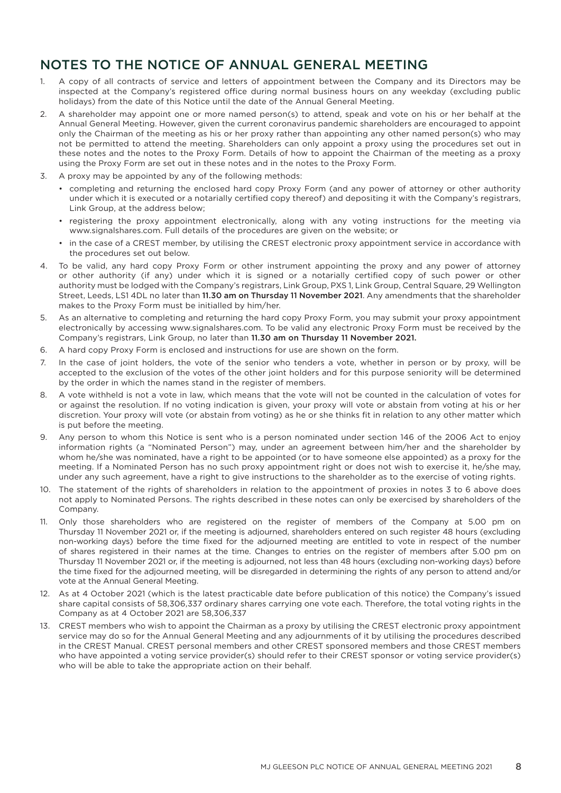# NOTES TO THE NOTICE OF ANNUAL GENERAL MEETING

- 1. A copy of all contracts of service and letters of appointment between the Company and its Directors may be inspected at the Company's registered office during normal business hours on any weekday (excluding public holidays) from the date of this Notice until the date of the Annual General Meeting.
- 2. A shareholder may appoint one or more named person(s) to attend, speak and vote on his or her behalf at the Annual General Meeting. However, given the current coronavirus pandemic shareholders are encouraged to appoint only the Chairman of the meeting as his or her proxy rather than appointing any other named person(s) who may not be permitted to attend the meeting. Shareholders can only appoint a proxy using the procedures set out in these notes and the notes to the Proxy Form. Details of how to appoint the Chairman of the meeting as a proxy using the Proxy Form are set out in these notes and in the notes to the Proxy Form.
- 3. A proxy may be appointed by any of the following methods:
	- completing and returning the enclosed hard copy Proxy Form (and any power of attorney or other authority under which it is executed or a notarially certified copy thereof) and depositing it with the Company's registrars, Link Group, at the address below;
	- registering the proxy appointment electronically, along with any voting instructions for the meeting via www.signalshares.com. Full details of the procedures are given on the website; or
	- in the case of a CREST member, by utilising the CREST electronic proxy appointment service in accordance with the procedures set out below.
- 4. To be valid, any hard copy Proxy Form or other instrument appointing the proxy and any power of attorney or other authority (if any) under which it is signed or a notarially certified copy of such power or other authority must be lodged with the Company's registrars, Link Group, PXS 1, Link Group, Central Square, 29 Wellington Street, Leeds, LS1 4DL no later than 11.30 am on Thursday 11 November 2021. Any amendments that the shareholder makes to the Proxy Form must be initialled by him/her.
- 5. As an alternative to completing and returning the hard copy Proxy Form, you may submit your proxy appointment electronically by accessing www.signalshares.com. To be valid any electronic Proxy Form must be received by the Company's registrars, Link Group, no later than 11.30 am on Thursday 11 November 2021.
- 6. A hard copy Proxy Form is enclosed and instructions for use are shown on the form.
- 7. In the case of joint holders, the vote of the senior who tenders a vote, whether in person or by proxy, will be accepted to the exclusion of the votes of the other joint holders and for this purpose seniority will be determined by the order in which the names stand in the register of members.
- 8. A vote withheld is not a vote in law, which means that the vote will not be counted in the calculation of votes for or against the resolution. If no voting indication is given, your proxy will vote or abstain from voting at his or her discretion. Your proxy will vote (or abstain from voting) as he or she thinks fit in relation to any other matter which is put before the meeting.
- 9. Any person to whom this Notice is sent who is a person nominated under section 146 of the 2006 Act to enjoy information rights (a "Nominated Person") may, under an agreement between him/her and the shareholder by whom he/she was nominated, have a right to be appointed (or to have someone else appointed) as a proxy for the meeting. If a Nominated Person has no such proxy appointment right or does not wish to exercise it, he/she may, under any such agreement, have a right to give instructions to the shareholder as to the exercise of voting rights.
- 10. The statement of the rights of shareholders in relation to the appointment of proxies in notes 3 to 6 above does not apply to Nominated Persons. The rights described in these notes can only be exercised by shareholders of the Company.
- 11. Only those shareholders who are registered on the register of members of the Company at 5.00 pm on Thursday 11 November 2021 or, if the meeting is adjourned, shareholders entered on such register 48 hours (excluding non-working days) before the time fixed for the adjourned meeting are entitled to vote in respect of the number of shares registered in their names at the time. Changes to entries on the register of members after 5.00 pm on Thursday 11 November 2021 or, if the meeting is adjourned, not less than 48 hours (excluding non-working days) before the time fixed for the adjourned meeting, will be disregarded in determining the rights of any person to attend and/or vote at the Annual General Meeting.
- 12. As at 4 October 2021 (which is the latest practicable date before publication of this notice) the Company's issued share capital consists of 58,306,337 ordinary shares carrying one vote each. Therefore, the total voting rights in the Company as at 4 October 2021 are 58,306,337
- 13. CREST members who wish to appoint the Chairman as a proxy by utilising the CREST electronic proxy appointment service may do so for the Annual General Meeting and any adjournments of it by utilising the procedures described in the CREST Manual. CREST personal members and other CREST sponsored members and those CREST members who have appointed a voting service provider(s) should refer to their CREST sponsor or voting service provider(s) who will be able to take the appropriate action on their behalf.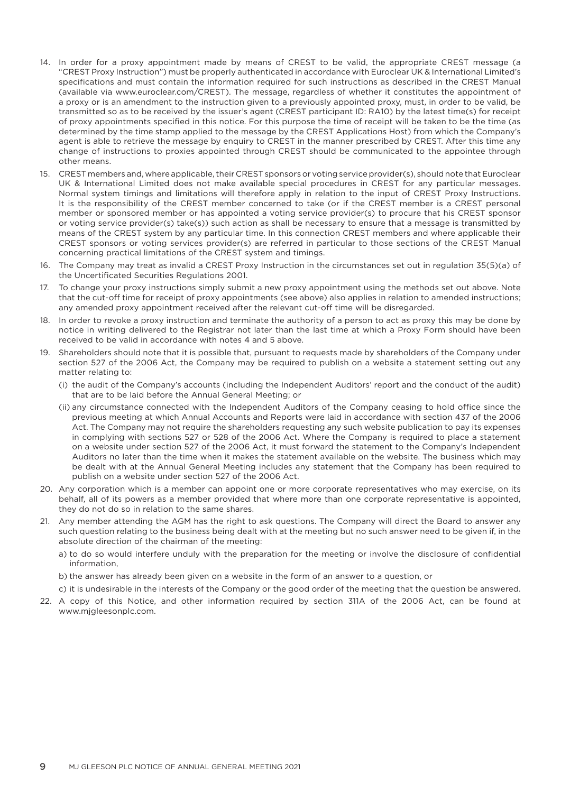- 14. In order for a proxy appointment made by means of CREST to be valid, the appropriate CREST message (a "CREST Proxy Instruction") must be properly authenticated in accordance with Euroclear UK & International Limited's specifications and must contain the information required for such instructions as described in the CREST Manual (available via www.euroclear.com/CREST). The message, regardless of whether it constitutes the appointment of a proxy or is an amendment to the instruction given to a previously appointed proxy, must, in order to be valid, be transmitted so as to be received by the issuer's agent (CREST participant ID: RA10) by the latest time(s) for receipt of proxy appointments specified in this notice. For this purpose the time of receipt will be taken to be the time (as determined by the time stamp applied to the message by the CREST Applications Host) from which the Company's agent is able to retrieve the message by enquiry to CREST in the manner prescribed by CREST. After this time any change of instructions to proxies appointed through CREST should be communicated to the appointee through other means.
- 15. CREST members and, where applicable, their CREST sponsors or voting service provider(s), should note that Euroclear UK & International Limited does not make available special procedures in CREST for any particular messages. Normal system timings and limitations will therefore apply in relation to the input of CREST Proxy Instructions. It is the responsibility of the CREST member concerned to take (or if the CREST member is a CREST personal member or sponsored member or has appointed a voting service provider(s) to procure that his CREST sponsor or voting service provider(s) take(s)) such action as shall be necessary to ensure that a message is transmitted by means of the CREST system by any particular time. In this connection CREST members and where applicable their CREST sponsors or voting services provider(s) are referred in particular to those sections of the CREST Manual concerning practical limitations of the CREST system and timings.
- 16. The Company may treat as invalid a CREST Proxy Instruction in the circumstances set out in regulation 35(5)(a) of the Uncertificated Securities Regulations 2001.
- 17. To change your proxy instructions simply submit a new proxy appointment using the methods set out above. Note that the cut-off time for receipt of proxy appointments (see above) also applies in relation to amended instructions; any amended proxy appointment received after the relevant cut-off time will be disregarded.
- 18. In order to revoke a proxy instruction and terminate the authority of a person to act as proxy this may be done by notice in writing delivered to the Registrar not later than the last time at which a Proxy Form should have been received to be valid in accordance with notes 4 and 5 above.
- 19. Shareholders should note that it is possible that, pursuant to requests made by shareholders of the Company under section 527 of the 2006 Act, the Company may be required to publish on a website a statement setting out any matter relating to:
	- (i) the audit of the Company's accounts (including the Independent Auditors' report and the conduct of the audit) that are to be laid before the Annual General Meeting; or
	- (ii) any circumstance connected with the Independent Auditors of the Company ceasing to hold office since the previous meeting at which Annual Accounts and Reports were laid in accordance with section 437 of the 2006 Act. The Company may not require the shareholders requesting any such website publication to pay its expenses in complying with sections 527 or 528 of the 2006 Act. Where the Company is required to place a statement on a website under section 527 of the 2006 Act, it must forward the statement to the Company's Independent Auditors no later than the time when it makes the statement available on the website. The business which may be dealt with at the Annual General Meeting includes any statement that the Company has been required to publish on a website under section 527 of the 2006 Act.
- 20. Any corporation which is a member can appoint one or more corporate representatives who may exercise, on its behalf, all of its powers as a member provided that where more than one corporate representative is appointed, they do not do so in relation to the same shares.
- 21. Any member attending the AGM has the right to ask questions. The Company will direct the Board to answer any such question relating to the business being dealt with at the meeting but no such answer need to be given if, in the absolute direction of the chairman of the meeting:
	- a) to do so would interfere unduly with the preparation for the meeting or involve the disclosure of confidential information,
	- b) the answer has already been given on a website in the form of an answer to a question, or
	- c) it is undesirable in the interests of the Company or the good order of the meeting that the question be answered.
- 22. A copy of this Notice, and other information required by section 311A of the 2006 Act, can be found at www.mjgleesonplc.com.